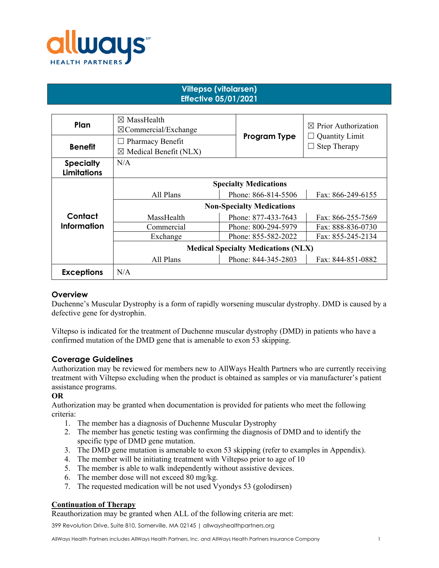

# **Viltepso (vitolarsen) Effective 05/01/2021**

| Plan                                   | $\boxtimes$ MassHealth<br>$\boxtimes$ Commercial/Exchange    |                     | $\boxtimes$ Prior Authorization              |
|----------------------------------------|--------------------------------------------------------------|---------------------|----------------------------------------------|
| <b>Benefit</b>                         | $\Box$ Pharmacy Benefit<br>$\boxtimes$ Medical Benefit (NLX) | Program Type        | <b>Quantity Limit</b><br><b>Step Therapy</b> |
| <b>Specialty</b><br><b>Limitations</b> | N/A                                                          |                     |                                              |
|                                        | <b>Specialty Medications</b>                                 |                     |                                              |
|                                        | All Plans                                                    | Phone: 866-814-5506 | Fax: 866-249-6155                            |
|                                        | <b>Non-Specialty Medications</b>                             |                     |                                              |
| Contact                                | MassHealth                                                   | Phone: 877-433-7643 | Fax: 866-255-7569                            |
| <b>Information</b>                     | Commercial                                                   | Phone: 800-294-5979 | Fax: 888-836-0730                            |
|                                        | Exchange                                                     | Phone: 855-582-2022 | Fax: 855-245-2134                            |
|                                        | <b>Medical Specialty Medications (NLX)</b>                   |                     |                                              |
|                                        | All Plans                                                    | Phone: 844-345-2803 | Fax: 844-851-0882                            |
| <b>Exceptions</b>                      | N/A                                                          |                     |                                              |

## **Overview**

Duchenne's Muscular Dystrophy is a form of rapidly worsening muscular dystrophy. DMD is caused by a defective gene for dystrophin.

Viltepso is indicated for the treatment of Duchenne muscular dystrophy (DMD) in patients who have a confirmed mutation of the DMD gene that is amenable to exon 53 skipping.

## **Coverage Guidelines**

Authorization may be reviewed for members new to AllWays Health Partners who are currently receiving treatment with Viltepso excluding when the product is obtained as samples or via manufacturer's patient assistance programs.

## **OR**

Authorization may be granted when documentation is provided for patients who meet the following criteria:

- 1. The member has a diagnosis of Duchenne Muscular Dystrophy
- 2. The member has genetic testing was confirming the diagnosis of DMD and to identify the specific type of DMD gene mutation.
- 3. The DMD gene mutation is amenable to exon 53 skipping (refer to examples in Appendix).
- 4. The member will be initiating treatment with Viltepso prior to age of 10
- 5. The member is able to walk independently without assistive devices.
- 6. The member dose will not exceed 80 mg/kg.
- 7. The requested medication will be not used Vyondys 53 (golodirsen)

## **Continuation of Therapy**

Reauthorization may be granted when ALL of the following criteria are met:

399 Revolution Drive, Suite 810, Somerville, MA 02145 | allwayshealthpartners.org